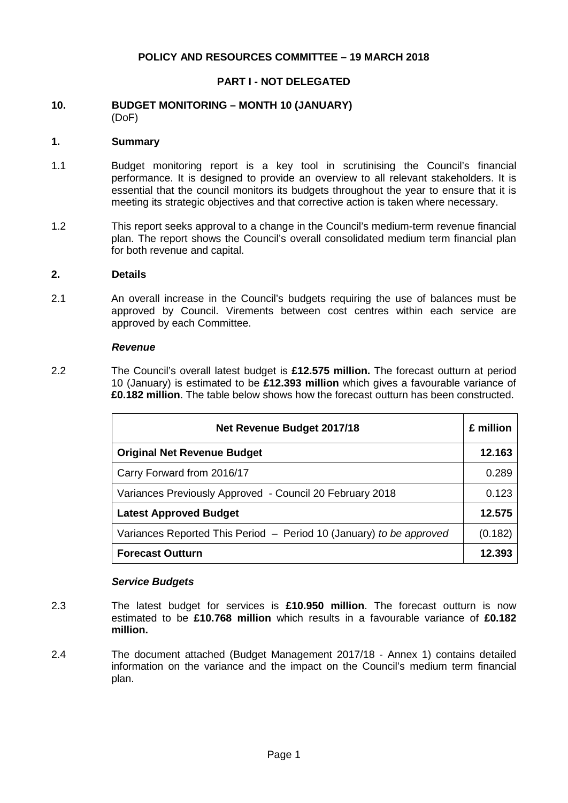## **POLICY AND RESOURCES COMMITTEE – 19 MARCH 2018**

## **PART I - NOT DELEGATED**

#### **10. BUDGET MONITORING – MONTH 10 (JANUARY)** (DoF)

### **1. Summary**

- 1.1 Budget monitoring report is a key tool in scrutinising the Council's financial performance. It is designed to provide an overview to all relevant stakeholders. It is essential that the council monitors its budgets throughout the year to ensure that it is meeting its strategic objectives and that corrective action is taken where necessary.
- 1.2 This report seeks approval to a change in the Council's medium-term revenue financial plan. The report shows the Council's overall consolidated medium term financial plan for both revenue and capital.

#### **2. Details**

2.1 An overall increase in the Council's budgets requiring the use of balances must be approved by Council. Virements between cost centres within each service are approved by each Committee.

#### *Revenue*

2.2 The Council's overall latest budget is **£12.575 million.** The forecast outturn at period 10 (January) is estimated to be **£12.393 million** which gives a favourable variance of **£0.182 million**. The table below shows how the forecast outturn has been constructed.

| Net Revenue Budget 2017/18                                          |         |
|---------------------------------------------------------------------|---------|
| <b>Original Net Revenue Budget</b>                                  | 12.163  |
| Carry Forward from 2016/17                                          | 0.289   |
| Variances Previously Approved - Council 20 February 2018            | 0.123   |
| <b>Latest Approved Budget</b>                                       | 12.575  |
| Variances Reported This Period - Period 10 (January) to be approved | (0.182) |
| <b>Forecast Outturn</b>                                             | 12.393  |

## *Service Budgets*

- 2.3 The latest budget for services is **£10.950 million**. The forecast outturn is now estimated to be **£10.768 million** which results in a favourable variance of **£0.182 million.**
- 2.4 The document attached (Budget Management 2017/18 Annex 1) contains detailed information on the variance and the impact on the Council's medium term financial plan.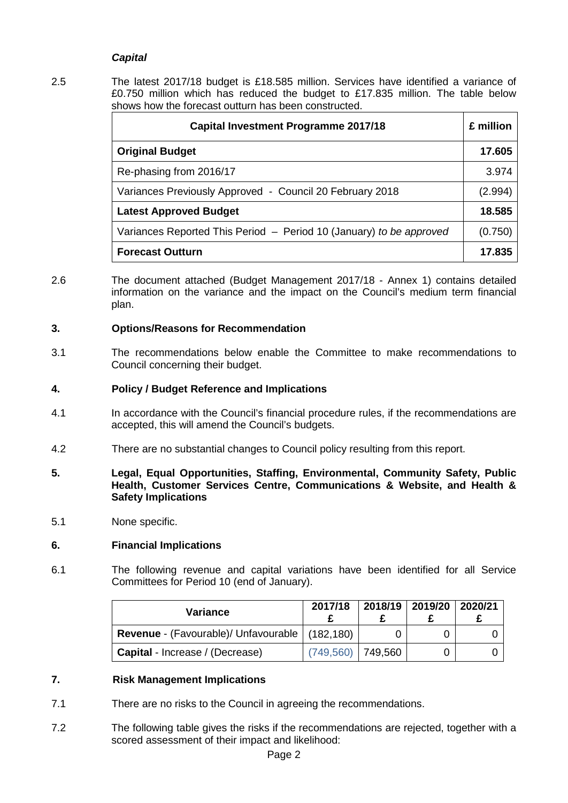## *Capital*

2.5 The latest 2017/18 budget is £18.585 million. Services have identified a variance of £0.750 million which has reduced the budget to £17.835 million. The table below shows how the forecast outturn has been constructed.

| <b>Capital Investment Programme 2017/18</b>                         |         |  |
|---------------------------------------------------------------------|---------|--|
| <b>Original Budget</b>                                              | 17.605  |  |
| Re-phasing from 2016/17                                             | 3.974   |  |
| Variances Previously Approved - Council 20 February 2018            | (2.994) |  |
| <b>Latest Approved Budget</b>                                       | 18.585  |  |
| Variances Reported This Period - Period 10 (January) to be approved | (0.750) |  |
| <b>Forecast Outturn</b>                                             | 17.835  |  |

2.6 The document attached (Budget Management 2017/18 - Annex 1) contains detailed information on the variance and the impact on the Council's medium term financial plan.

## **3. Options/Reasons for Recommendation**

3.1 The recommendations below enable the Committee to make recommendations to Council concerning their budget.

## **4. Policy / Budget Reference and Implications**

- 4.1 In accordance with the Council's financial procedure rules, if the recommendations are accepted, this will amend the Council's budgets.
- 4.2 There are no substantial changes to Council policy resulting from this report.
- **5. Legal, Equal Opportunities, Staffing, Environmental, Community Safety, Public Health, Customer Services Centre, Communications & Website, and Health & Safety Implications**
- 5.1 None specific.

## **6. Financial Implications**

6.1 The following revenue and capital variations have been identified for all Service Committees for Period 10 (end of January).

| Variance                                                | 2017/18             | 2018/19 2019/20 2020/21 |  |
|---------------------------------------------------------|---------------------|-------------------------|--|
| <b>Revenue</b> - (Favourable)/ Unfavourable   (182,180) |                     |                         |  |
| <b>Capital</b> - Increase / (Decrease)                  | $(749,560)$ 749,560 |                         |  |

# **7. Risk Management Implications**

- 7.1 There are no risks to the Council in agreeing the recommendations.
- 7.2 The following table gives the risks if the recommendations are rejected, together with a scored assessment of their impact and likelihood: